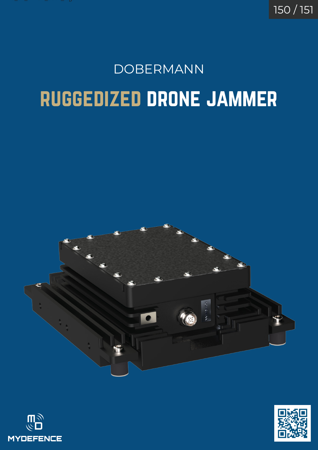

150 / 151

# ruggedized drone jammer DOBERMANN